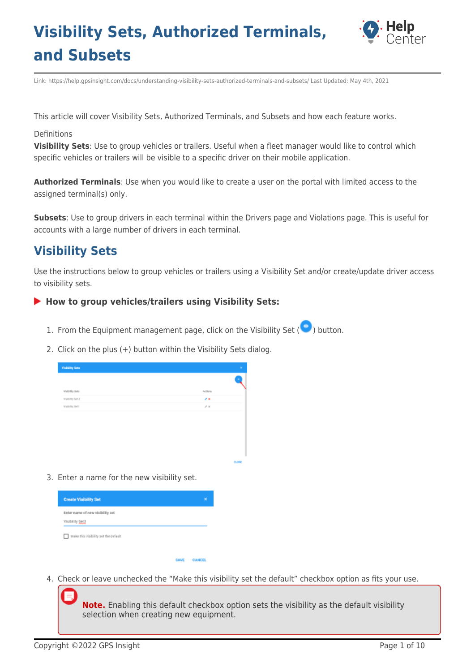

Link: https://help.gpsinsight.com/docs/understanding-visibility-sets-authorized-terminals-and-subsets/ Last Updated: May 4th, 2021

This article will cover Visibility Sets, Authorized Terminals, and Subsets and how each feature works.

#### Definitions

**Visibility Sets**: Use to group vehicles or trailers. Useful when a fleet manager would like to control which specific vehicles or trailers will be visible to a specific driver on their mobile application.

**Authorized Terminals**: Use when you would like to create a user on the portal with limited access to the assigned terminal(s) only.

**Subsets**: Use to group drivers in each terminal within the Drivers page and Violations page. This is useful for accounts with a large number of drivers in each terminal.

### **Visibility Sets**

Use the instructions below to group vehicles or trailers using a Visibility Set and/or create/update driver access to visibility sets.

#### **How to group vehicles/trailers using Visibility Sets:**

- 1. From the Equipment management page, click on the Visibility Set ( $\bigodot$ ) button.
- 2. Click on the plus (+) button within the Visibility Sets dialog.

| <b>Visibility Sets</b> | ×                    |
|------------------------|----------------------|
|                        | ٠                    |
| Visibility Sets        | Actions              |
| <b>Modelity Set 2</b>  | $\sigma$ as          |
| <b>Mainlife Set</b>    | $\mathcal{S} \times$ |
|                        |                      |
|                        |                      |
|                        |                      |
|                        |                      |
|                        |                      |

3. Enter a name for the new visibility set.

| <b>Create Visibility Set</b>                        | × |
|-----------------------------------------------------|---|
| Enter name of new visibility set<br>Visibility Set2 |   |
| Make this visibility set the default                |   |

4. Check or leave unchecked the "Make this visibility set the default" checkbox option as fits your use.

**CANCE** 

**Note.** Enabling this default checkbox option sets the visibility as the default visibility selection when creating new equipment.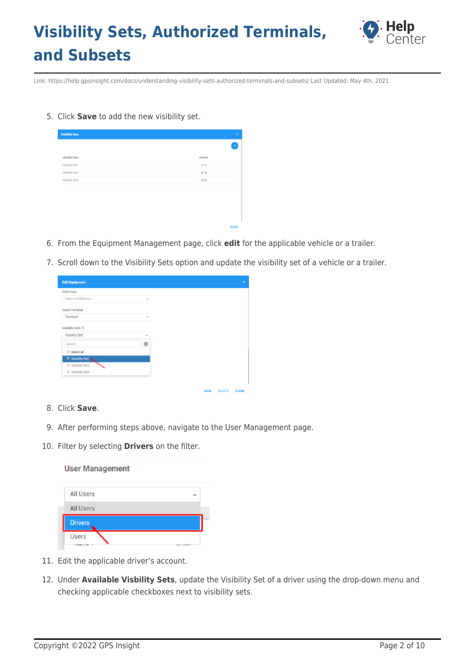

Link: https://help.gpsinsight.com/docs/understanding-visibility-sets-authorized-terminals-and-subsets/ Last Updated: May 4th, 2021

5. Click **Save** to add the new visibility set.

| Visibility Sets | Artists              |  |
|-----------------|----------------------|--|
| Visibility Set  | $\mathcal{S} \times$ |  |
| Visibility Belz | 93                   |  |
| Visibility Srd  | z.                   |  |

- 6. From the Equipment Management page, click **edit** for the applicable vehicle or a trailer.
- 7. Scroll down to the Visibility Sets option and update the visibility set of a vehicle or a trailer.

CLOSE

| <b>Edit Equipment</b>          |   |
|--------------------------------|---|
| <b>DVIR Form</b>               |   |
| Select a DVR Form              | v |
| Horse Terminal                 |   |
| Terminal1                      | v |
| Visibility Sets <sup>(3)</sup> |   |
| <b>Yinkerty Set!</b>           | ۳ |
| Search                         | ۱ |
| <b>B</b> Select all            |   |
| El Visibility Setting          |   |
| <sup>El</sup> Visibility Set2  |   |
| <sup>III</sup> Visibility Set3 |   |

- 8. Click **Save**.
- 9. After performing steps above, navigate to the User Management page.
- 10. Filter by selecting **Drivers** on the filter.

**User Management** 

| <b>All Users</b> |                            |
|------------------|----------------------------|
| <b>All Users</b> |                            |
| <b>Drivers</b>   |                            |
| Users            | <b>No. of S. S. School</b> |

- 11. Edit the applicable driver's account.
- 12. Under **Available Visbility Sets**, update the Visibility Set of a driver using the drop-down menu and checking applicable checkboxes next to visibility sets.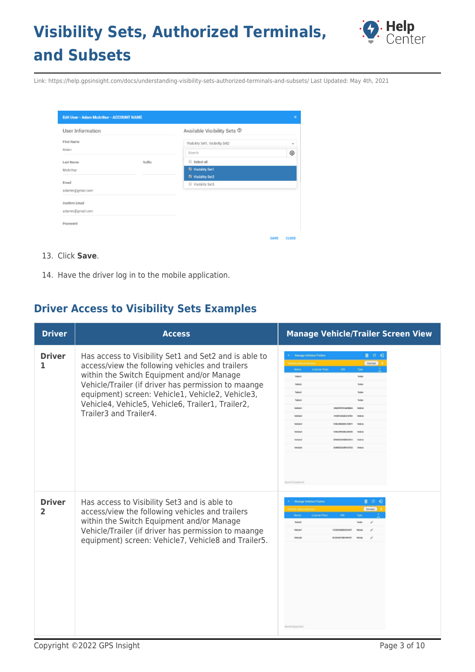

Link: https://help.gpsinsight.com/docs/understanding-visibility-sets-authorized-terminals-and-subsets/ Last Updated: May 4th, 2021

| <b>Edit User - Adam McArthur - ACCOUNT NAME</b> |        |                                  |             | ×     |
|-------------------------------------------------|--------|----------------------------------|-------------|-------|
| User Information                                |        | Available Visibility Sets ®      |             |       |
| First Name                                      |        | Visibility Set1, Visibility Set2 |             | ٠     |
| Adam                                            |        | Search                           |             | ⊛     |
| Last Name                                       | Suffix | B Select all                     |             |       |
| McArthur                                        |        | El Visibility Set1               |             |       |
| Email                                           |        | El Visibility Set2               |             |       |
| adamm@gmail.com                                 |        | Visibility Set3                  |             |       |
| Confirm Email                                   |        |                                  |             |       |
| adamın @gmail.com                               |        |                                  |             |       |
| Password                                        |        |                                  |             |       |
|                                                 |        |                                  | <b>SAVE</b> | CLOSE |

#### 13. Click **Save**.

14. Have the driver log in to the mobile application.

### **Driver Access to Visibility Sets Examples**

| <b>Driver</b>      | <b>Access</b>                                                                                                                                                                                                                                                                                                                                   | <b>Manage Vehicle/Trailer Screen View</b>                                                                                                                                                         |
|--------------------|-------------------------------------------------------------------------------------------------------------------------------------------------------------------------------------------------------------------------------------------------------------------------------------------------------------------------------------------------|---------------------------------------------------------------------------------------------------------------------------------------------------------------------------------------------------|
| <b>Driver</b><br>1 | Has access to Visibility Set1 and Set2 and is able to<br>access/view the following vehicles and trailers<br>within the Switch Equipment and/or Manage<br>Vehicle/Trailer (if driver has permission to maange<br>equipment) screen: Vehicle1, Vehicle2, Vehicle3,<br>Vehicle4, Vehicle5, Vehicle6, Trailer1, Trailer2,<br>Trailer3 and Trailer4. | $Q$ $C$<br>Manage Vehicles/Trailer<br>Current<br>License Plate<br>Name<br>Type<br>trater<br>makers<br>trebe<br>Trailer<br><b>Sales</b><br>Inde<br><b>NUMBER OF STREET</b><br><b>Search Equipm</b> |
| <b>Driver</b><br>2 | Has access to Visibility Set3 and is able to<br>access/view the following vehicles and trailers<br>within the Switch Equipment and/or Manage<br>Vehicle/Trailer (if driver has permission to maange<br>equipment) screen: Vehicle7, Vehicle8 and Trailer5.                                                                                      | 里 日 祖<br>Manage Vehicles/Trailers<br><b>Bonnet</b><br>Nome<br><b>License Plate</b><br>Teather<br><b>RESOURAGEMENTS</b><br><b>Delta Call</b><br><b>Search Equipment</b>                            |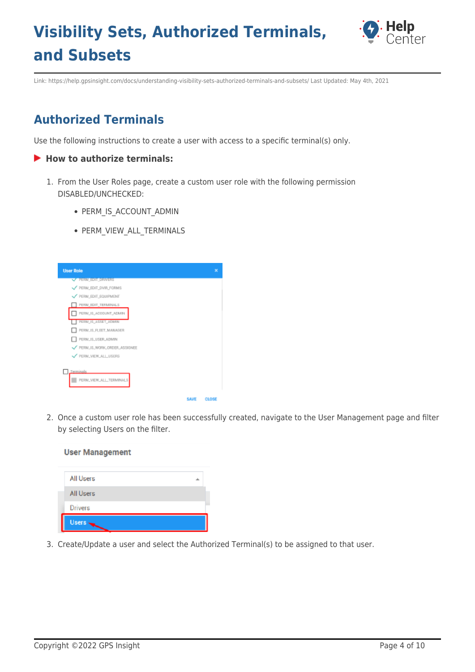

Link: https://help.gpsinsight.com/docs/understanding-visibility-sets-authorized-terminals-and-subsets/ Last Updated: May 4th, 2021

### **Authorized Terminals**

Use the following instructions to create a user with access to a specific terminal(s) only.

#### **How to authorize terminals:**

- 1. From the User Roles page, create a custom user role with the following permission DISABLED/UNCHECKED:
	- PERM IS ACCOUNT ADMIN
	- PERM VIEW ALL TERMINALS



2. Once a custom user role has been successfully created, navigate to the User Management page and filter by selecting Users on the filter.

| All Users      |  |
|----------------|--|
| All Users      |  |
| <b>Drivers</b> |  |
| <b>Users</b>   |  |

**User Management** 

3. Create/Update a user and select the Authorized Terminal(s) to be assigned to that user.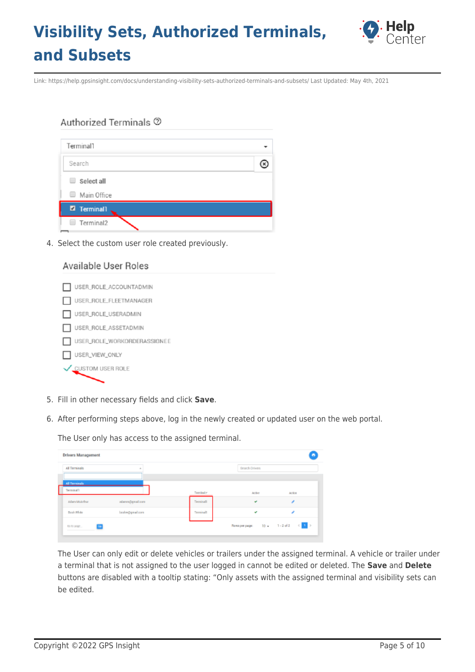

Link: https://help.gpsinsight.com/docs/understanding-visibility-sets-authorized-terminals-and-subsets/ Last Updated: May 4th, 2021

#### Authorized Terminals 2

| Terminal1       |  |
|-----------------|--|
| Search          |  |
| Select all<br>⋓ |  |
| Main Office     |  |
| 7 Terminal1     |  |
| Terminal2       |  |

4. Select the custom user role created previously.

### Available User Roles USER\_ROLE\_ACCOUNTADMIN USER\_ROLE\_FLEETMANAGER USER\_ROLE\_USERADMIN USER\_ROLE\_ASSETADMIN USER\_ROLE\_WORKORDERASSIGNEE USER\_VIEW\_ONLY CUSTOM USER ROLE

- 5. Fill in other necessary fields and click **Save**.
- 6. After performing steps above, log in the newly created or updated user on the web portal.

The User only has access to the assigned terminal.

| Drivers Management                |                 |           |                            | ۰          |
|-----------------------------------|-----------------|-----------|----------------------------|------------|
| All Terminals                     | $\mathcal{A}$   |           | Search Drivers             |            |
|                                   |                 |           |                            |            |
| <b>All Terminals</b><br>Terminal? |                 | Torránde: | Active                     | Artion     |
| <b>Adam McArthur</b>              | adamn@gmail.com | TerminalT | ٠                          |            |
| Bosh White                        | boshv@gmail.com | Terminal1 | ÷                          |            |
| 0010 BMP<br>G                     |                 |           | Rowsperpage: 10 = 1-2 of 2 | $\leq$ 1 > |

The User can only edit or delete vehicles or trailers under the assigned terminal. A vehicle or trailer under a terminal that is not assigned to the user logged in cannot be edited or deleted. The **Save** and **Delete** buttons are disabled with a tooltip stating: "Only assets with the assigned terminal and visibility sets can be edited.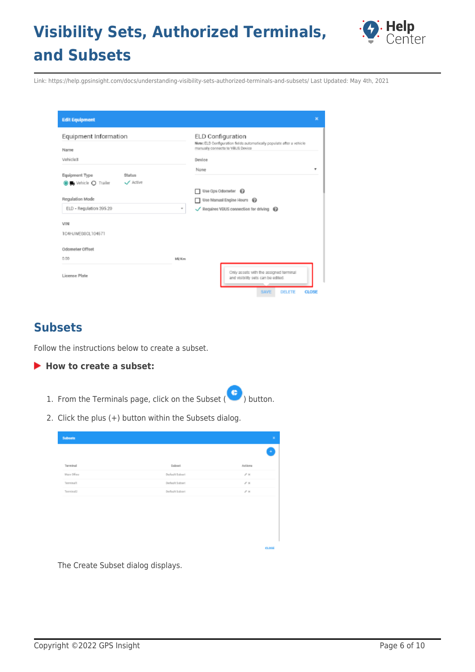

Link: https://help.gpsinsight.com/docs/understanding-visibility-sets-authorized-terminals-and-subsets/ Last Updated: May 4th, 2021

| <b>Edit Equipment</b>                                                           |                                                                                                                                          | $\mathbf x$    |
|---------------------------------------------------------------------------------|------------------------------------------------------------------------------------------------------------------------------------------|----------------|
| Equipment Information<br>Name<br>Vehicle3                                       | ELD Configuration<br>Note: ELD Configuration fields automatically populate after a vehicle<br>manually connects to VBUS Device<br>Device |                |
| Equipment Type<br>Status<br>Active<br>$\blacksquare$ Vehicle $\bigcirc$ Trailer | None<br>Use Ops Odometer @<br>┓                                                                                                          | $\blacksquare$ |
| Regulation Mode<br>ELD - Regulation 395.20                                      | Use Manual Engine Hours @<br>Requires VBUS connection for driving @<br>٠<br>✓                                                            |                |
| VIN<br>1C4HJWEG8CL104571                                                        |                                                                                                                                          |                |
| Odometer Offset<br>0.00                                                         | Mi/Km                                                                                                                                    |                |
| License Plate                                                                   | Only assets with the assigned terminal<br>and visibility sets can be edited.<br><b>DELETE</b><br><b>SAVE</b><br><b>CLOSE</b>             |                |

### **Subsets**

Follow the instructions below to create a subset.

### **How to create a subset:**

- 1. From the Terminals page, click on the Subset  $(\bullet)$  button.
- 2. Click the plus (+) button within the Subsets dialog.

| <b>Subsets</b> |                | $\mathbf{x}$         |
|----------------|----------------|----------------------|
|                |                | ٠                    |
| Terminal       | Subset         | Actions              |
| Main Office    | Default Subset | $\mathcal{S} \times$ |
| Terminal1      | Default Subset | $\sigma$ x           |
| Terrinal2      | Default Subort | $\sigma \propto$     |
|                |                |                      |
|                |                |                      |
|                |                |                      |
|                |                |                      |
|                |                |                      |
|                |                |                      |

The Create Subset dialog displays.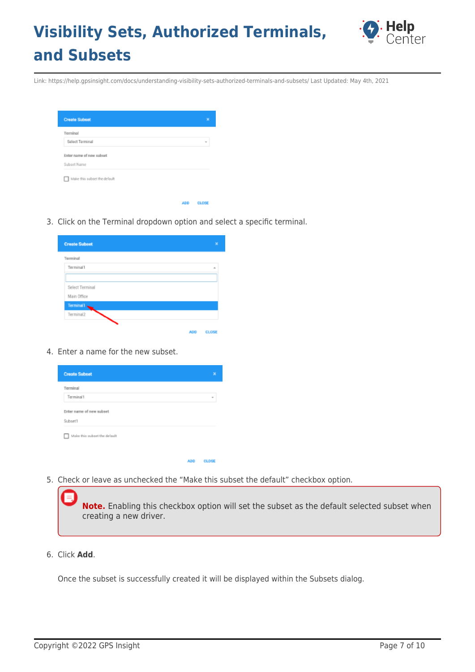

Link: https://help.gpsinsight.com/docs/understanding-visibility-sets-authorized-terminals-and-subsets/ Last Updated: May 4th, 2021

| <b>Create Subset</b>              | ×                   |
|-----------------------------------|---------------------|
| Terminal                          |                     |
| Select Terminal                   | $\scriptstyle\rm w$ |
| Enter name of new subset          |                     |
| Subset Name                       |                     |
| Make this subset the default<br>п |                     |
|                                   |                     |
|                                   |                     |

3. Click on the Terminal dropdown option and select a specific terminal.

ADD CLOSE

| <b>Create Subset</b> |            | ×            |
|----------------------|------------|--------------|
| Terminal             |            |              |
| Terminal1            |            | ÷            |
|                      |            |              |
| Select Terminal      |            |              |
| Main Office          |            |              |
| <b>Terminal1</b>     |            |              |
| Terminal2            |            |              |
|                      | <b>ADD</b> | <b>CLOSI</b> |

4. Enter a name for the new subset.

| <b>Create Subset</b>                |            | ×            |
|-------------------------------------|------------|--------------|
| Terminal                            |            |              |
| Terminal1                           |            | ÷            |
| Enter name of new subset            |            |              |
| Subset1                             |            |              |
| Make this subset the default<br>. . |            |              |
|                                     |            |              |
|                                     | <b>ADD</b> | <b>CLOSE</b> |

5. Check or leave as unchecked the "Make this subset the default" checkbox option.

**Note.** Enabling this checkbox option will set the subset as the default selected subset when creating a new driver.

6. Click **Add**.

Once the subset is successfully created it will be displayed within the Subsets dialog.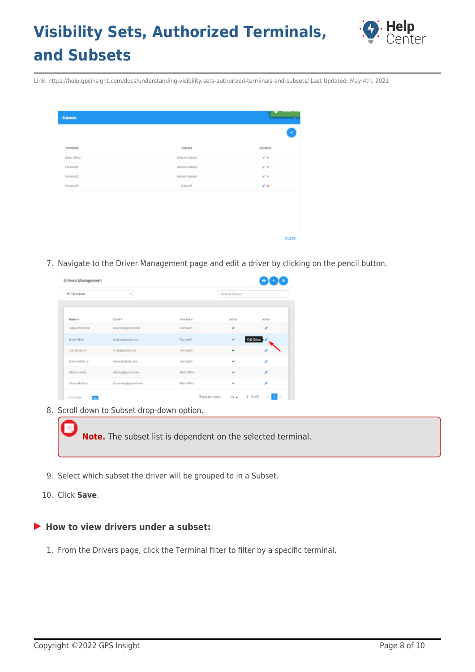

Link: https://help.gpsinsight.com/docs/understanding-visibility-sets-authorized-terminals-and-subsets/ Last Updated: May 4th, 2021

| ٠<br>Terminal<br>Subset<br>Actions<br>Main Office<br>Default Subset<br>$\mathcal{S} \times$<br>Terminalli<br>Default Suboot<br>$\mathcal{S}$ H<br>pelault subset<br>$\mathcal{S} \times$<br>Terminal2<br>z.<br>Terminalli<br>Subsett | <b>Subsets</b> | <b><i>GREADER CHEFT</i></b><br>× |
|--------------------------------------------------------------------------------------------------------------------------------------------------------------------------------------------------------------------------------------|----------------|----------------------------------|
|                                                                                                                                                                                                                                      |                |                                  |
|                                                                                                                                                                                                                                      |                |                                  |
|                                                                                                                                                                                                                                      |                |                                  |
|                                                                                                                                                                                                                                      |                |                                  |
|                                                                                                                                                                                                                                      |                |                                  |
|                                                                                                                                                                                                                                      |                |                                  |
|                                                                                                                                                                                                                                      |                |                                  |
|                                                                                                                                                                                                                                      |                |                                  |
|                                                                                                                                                                                                                                      |                |                                  |
|                                                                                                                                                                                                                                      |                | CLOSE                            |

7. Navigate to the Driver Management page and edit a driver by clicking on the pencil button.

| All Terminals           | $\overline{\phantom{a}}$ |             | Search Drivers |            |
|-------------------------|--------------------------|-------------|----------------|------------|
| <b>Name +</b>           | <b>Ernald IP</b>         | Terminal IP | autive         | Action     |
| <b>Adam McArthur</b>    | adamn@gmail.com          | Territoil   | ی              |            |
| Bosh White              | boshw@gmail.com          | Terning[1]  | ٠              | Edit Dever |
| Cris Brown Sr.          | crisb@grad.com           | Terminal2   | w              |            |
| <b>Bave Collins Jr.</b> | davec@grapil.com         | Teminal2    | v              |            |
| Ethan Dornez            | ethanggigmail.com        | Main office | w              |            |
| Ferrardo Poe            | fenersteg@gmail.com      | Main Office | v              |            |

8. Scroll down to Subset drop-down option.

**Note.** The subset list is dependent on the selected terminal.

- 9. Select which subset the driver will be grouped to in a Subset.
- 10. Click **Save**.

#### ▶ How to view drivers under a subset:

1. From the Drivers page, click the Terminal filter to filter by a specific terminal.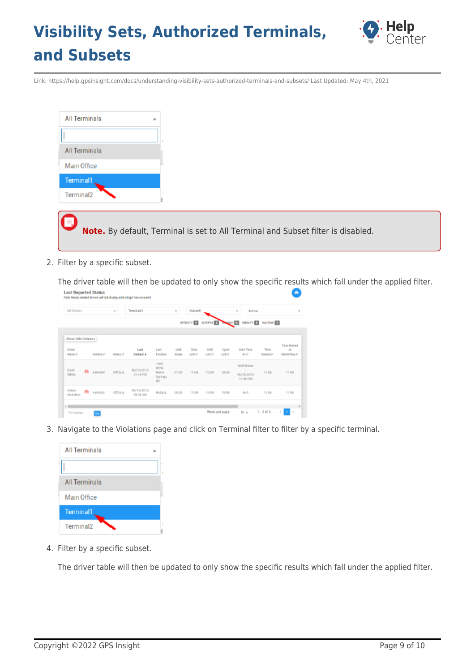

Link: https://help.gpsinsight.com/docs/understanding-visibility-sets-authorized-terminals-and-subsets/ Last Updated: May 4th, 2021

2. Filter by a specific subset.

The driver table will then be updated to only show the specific results which fall under the applied filter.

| All Drivers              |    |           | $\alpha$  | Terminal1               |                                                               | $\mathcal{R}$              | Subset1          |                              | $\alpha$        | <b>Active</b>                                   |                  |                                                  |
|--------------------------|----|-----------|-----------|-------------------------|---------------------------------------------------------------|----------------------------|------------------|------------------------------|-----------------|-------------------------------------------------|------------------|--------------------------------------------------|
|                          |    |           |           |                         |                                                               |                            | GFFDUTY <b>E</b> | SLEEPER ET DOWNG O CHOUTY ET |                 |                                                 | <b>NATTING D</b> |                                                  |
| Show/Hide Columns        |    |           |           |                         |                                                               |                            |                  |                              |                 |                                                 |                  |                                                  |
| <b>Driver</b><br>Name of |    | Vehicle m | Status in | Last<br>Contact +       | Last<br>Position                                              | <b>Usa</b><br><b>Great</b> | Drive<br>Letter  | 55.77<br>Lefter              | Cycle<br>Letter | Gold Time<br>At im-                             | Time<br>Gained m | Time <b>Onined</b><br><b>xt</b><br>StartOfBoy #1 |
| Bosh<br>white:           | æ. | Vehicle4  | OffDaty   | 06/18/2019<br>01:48 PM  | 16mi<br>TH <sub>5</sub> W<br><b>Blarre</b><br>Springs,<br>OR. | DT:50                      | 11:00            | 12:59                        | 69:50           | Shift Recet<br>$\sim$<br>06/18/2019<br>11:45 PM | 11:00            | 11:00                                            |
| Adam<br>McArthur         | 65 | vahicles  | offpaty   | 06/19/2019<br>D9:34 ANJ | NoData                                                        | 08.00                      | 11:00            | 14.00                        | 70,00           | No Ac                                           | 11.00            | 11.00                                            |

3. Navigate to the Violations page and click on Terminal filter to filter by a specific terminal.



4. Filter by a specific subset.

The driver table will then be updated to only show the specific results which fall under the applied filter.